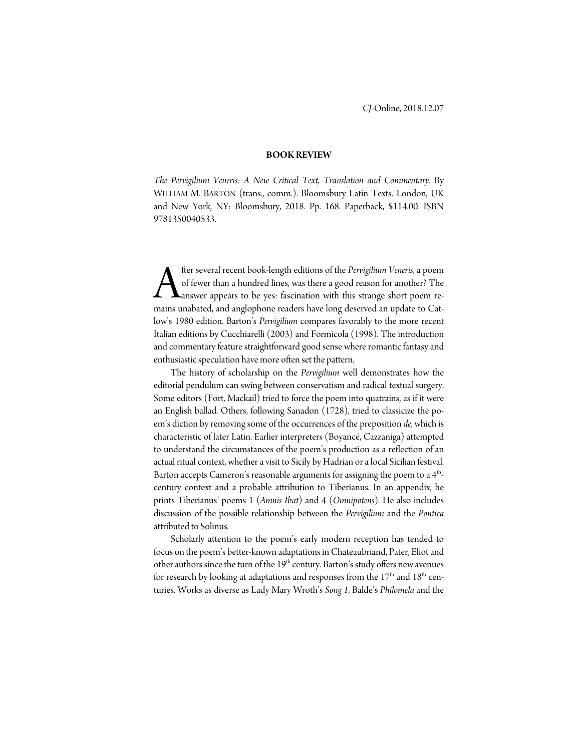## **BOOK REVIEW**

*The Pervigilium Veneris: A New Critical Text, Translation and Commentary.* By WILLIAM M. BARTON (trans., comm.). Bloomsbury Latin Texts. London, UK and New York, NY: Bloomsbury, 2018. Pp. 168. Paperback, \$114.00. ISBN 9781350040533.

fter several recent book-length editions of the *Pervigilium Veneris*, a poem of fewer than a hundred lines, was there a good reason for another? The **A** answer appears to be yes: fascination with this strange short poem re-**A** fter several recent book-length editions of the *Pervigilium Veneris*, a poem of fewer than a hundred lines, was there a good reason for another? The answer appears to be yes: fascination with this strange short poem r low's 1980 edition. Barton's *Pervigilium* compares favorably to the more recent Italian editions by Cucchiarelli (2003) and Formicola (1998). The introduction and commentary feature straightforward good sense where romantic fantasy and enthusiastic speculation have more often set the pattern.

The history of scholarship on the *Pervigilium* well demonstrates how the editorial pendulum can swing between conservatism and radical textual surgery. Some editors (Fort, Mackail) tried to force the poem into quatrains, as if it were an English ballad. Others, following Sanadon (1728), tried to classicize the poem's diction by removing some of the occurrences of the preposition *de*, which is characteristic of later Latin. Earlier interpreters (Boyancé, Cazzaniga) attempted to understand the circumstances of the poem's production as a reflection of an actual ritual context, whether a visit to Sicily by Hadrian or a local Sicilian festival. Barton accepts Cameron's reasonable arguments for assigning the poem to a 4<sup>th</sup>century context and a probable attribution to Tiberianus. In an appendix, he prints Tiberianus' poems 1 (*Amnis Ibat*) and 4 (*Omnipotens*). He also includes discussion of the possible relationship between the *Pervigilium* and the *Pontica* attributed to Solinus.

Scholarly attention to the poem's early modern reception has tended to focus on the poem's better-known adaptations in Chateaubriand, Pater, Eliot and other authors since the turn of the  $19<sup>th</sup>$  century. Barton's study offers new avenues for research by looking at adaptations and responses from the  $17<sup>th</sup>$  and  $18<sup>th</sup>$  centuries. Works as diverse as Lady Mary Wroth's *Song 1,* Balde's *Philomela* and the